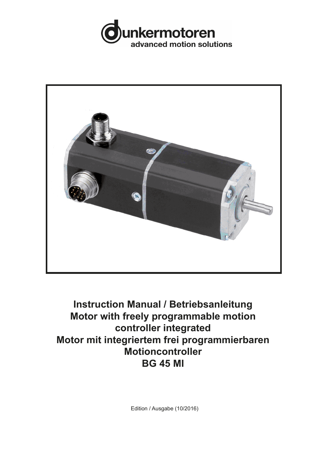



# **Instruction Manual / Betriebsanleitung Motor with freely programmable motion controller integrated Motor mit integriertem frei programmierbaren Motioncontroller BG 45 MI**

Edition / Ausgabe (10/2016)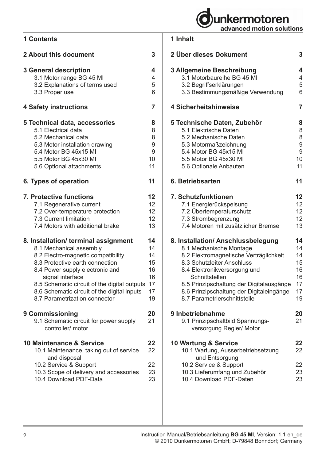

| ontents                        |   |  |
|--------------------------------|---|--|
| bout this document             | 3 |  |
| eneral description             |   |  |
| 3.1 Motor range BG 45 MI       |   |  |
| 3.2 Explanations of terms used | 5 |  |
| 3.3 Proper use                 |   |  |
|                                |   |  |

# **4 Safety instructions 7**

**2 About this document 3**

**3 General description 4**

**1 Contents**

| <b>4 Safety instructions</b>                                                                                                                                                                                                                                                                                                    | 7                                                  |
|---------------------------------------------------------------------------------------------------------------------------------------------------------------------------------------------------------------------------------------------------------------------------------------------------------------------------------|----------------------------------------------------|
| 5 Technical data, accessories<br>5.1 Electrical data<br>5.2 Mechanical data<br>5.3 Motor installation drawing<br>5.4 Motor BG 45x15 MI<br>5.5 Motor BG 45x30 MI<br>5.6 Optional attachments                                                                                                                                     | 8<br>8<br>8<br>9<br>9<br>10<br>11                  |
| 6. Types of operation                                                                                                                                                                                                                                                                                                           | 11                                                 |
| 7. Protective functions<br>7.1 Regenerative current<br>7.2 Over-temperature protection<br>7.3 Current limitation<br>7.4 Motors with additional brake                                                                                                                                                                            | 12<br>12<br>12<br>12<br>13                         |
| 8. Installation/ terminal assignment<br>8.1 Mechanical assembly<br>8.2 Electro-magnetic compatibility<br>8.3 Protective earth connection<br>8.4 Power supply electronic and<br>signal interface<br>8.5 Schematic circuit of the digital outputs<br>8.6 Schematic circuit of the digital inputs<br>8.7 Parametrization connector | 14<br>14<br>14<br>15<br>16<br>16<br>17<br>17<br>19 |
| 9 Commissioning<br>9.1 Schematic circuit for power supply<br>controller/ motor                                                                                                                                                                                                                                                  | 20<br>21                                           |
| 10 Maintenance & Service<br>10.1 Maintenance, taking out of service<br>and disposal<br>10.2 Service & Support<br>10.3 Scope of delivery and accessories<br>10.4 Download PDF-Data                                                                                                                                               | 22<br>22<br>22<br>23<br>23                         |

## **1 Inhalt**

| 2 Über dieses Dokument                   | 3              |
|------------------------------------------|----------------|
| 3 Allgemeine Beschreibung                | 4              |
| 3.1 Motorbaureihe BG 45 MI               | 4              |
| 3.2 Begriffserklärungen                  | 5              |
| 3.3 Bestimmungsmäßige Verwendung         | 6              |
| 4 Sicherheitshinweise                    | $\overline{7}$ |
| 5 Technische Daten, Zubehör              | 8              |
| 5.1 Elektrische Daten                    | 8              |
| 5.2 Mechanische Daten                    | 8              |
| 5.3 Motormaßzeichnung                    | 9              |
| 5.4 Motor BG 45x15 MI                    | 9              |
| 5.5 Motor BG 45x30 MI                    | 10             |
| 5.6 Optionale Anbauten                   | 11             |
| 6. Betriebsarten                         | 11             |
| 7. Schutzfunktionen                      | 12             |
| 7.1 Energierückspeisung                  | 12             |
| 7.2 Übertemperaturschutz                 | 12             |
| 7.3 Strombegrenzung                      | 12             |
| 7.4 Motoren mit zusätzlicher Bremse      | 13             |
| 8. Installation/ Anschlussbelegung       | 14             |
| 8.1 Mechanische Montage                  | 14             |
| 8.2 Elektromagnetische Verträglichkeit   | 14             |
| 8.3 Schutzleiter Anschluss               | 15             |
| 8.4 Elektronikversorgung und             | 16             |
| Schnittstellen                           | 16             |
| 8.5 Prinzipschaltung der Digitalausgänge | 17             |
| 8.6 Prinzipschaltung der Digitaleingänge | 17             |
| 8.7 Parametrierschnittstelle             | 19             |
| 9 Inbetriebnahme                         | 20             |
| 9.1 Prinzipschaltbild Spannungs-         | 21             |
| versorgung Regler/ Motor                 |                |
| 10 Wartung & Service                     | 22             |
| 10.1 Wartung, Ausserbetriebsetzung       | 22             |
| und Entsorgung                           |                |
| 10.2 Service & Support                   | 22             |
| 10.3 Lieferumfang und Zubehör            | 23             |
| 10.4 Download PDF-Daten                  | 23             |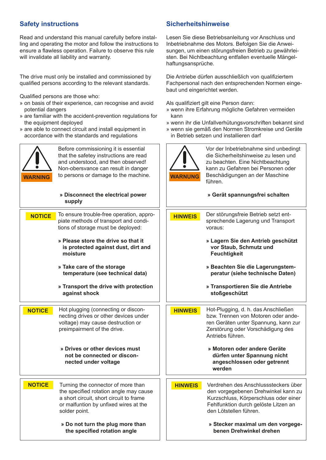Read and understand this manual carefully before installing and operating the motor and follow the instructions to ensure a flawless operation. Failure to observe this rule will invalidate all liability and warranty.

The drive must only be installed and commissioned by qualified persons according to the relevant standards.

Qualified persons are those who:

- » on basis of their experience, can recognise and avoid potential dangers
- » are familiar with the accident-prevention regulations for the equipment deployed
- » are able to connect circuit and install equipment in accordance with the standards and regulations



| <b>WARNING</b> | Before commissioning it is essential<br>that the safetey instructions are read<br>and understood, and then observed!<br>Non-obersvance can result in danger<br>to persons or damage to the machine. | <b>WARNUNG</b> |
|----------------|-----------------------------------------------------------------------------------------------------------------------------------------------------------------------------------------------------|----------------|
|                | » Disconnect the electrical power<br>supply                                                                                                                                                         |                |
| <b>NOTICE</b>  | To ensure trouble-free operation, appro-<br>piate methods of transport and condi-<br>tions of storage must be deployed:<br>» Please store the drive so that it                                      | <b>HINWEIS</b> |
|                | is protected against dust, dirt and<br>moisture                                                                                                                                                     |                |
|                | » Take care of the storage<br>temperature (see technical data)                                                                                                                                      |                |
|                | » Transport the drive with protection<br>against shock                                                                                                                                              |                |
| <b>NOTICE</b>  | Hot plugging (connecting or discon-<br>necting drives or other devices under<br>voltage) may cause destruction or<br>preimpairment of the drive.                                                    | <b>HINWEIS</b> |
|                | » Drives or other devices must<br>not be connected or discon-<br>nected under voltage                                                                                                               |                |
| <b>NOTICE</b>  | Turning the connector of more than<br>the specified rotation angle may cause                                                                                                                        | <b>HINWEIS</b> |
|                | a short circuit, short circuit to frame<br>or malfuntion by unfixed wires at the<br>solder point.                                                                                                   |                |
|                | » Do not turn the plug more than                                                                                                                                                                    |                |

 **the specified rotation angle**

#### **Safety instructions Sicherheitshinweise**

Lesen Sie diese Betriebsanleitung vor Anschluss und Inbetriebnahme des Motors. Befolgen Sie die Anweisungen, um einen störungsfreien Betrieb zu gewährleisten. Bei Nichtbeachtung entfallen eventuelle Mängelhaftungsansprüche.

Die Antriebe dürfen ausschließlich von qualifiziertem Fachpersonal nach den entsprechenden Normen eingebaut und eingerichtet werden.

Als qualifiziert gilt eine Person dann:

- » wenn ihre Erfahrung mögliche Gefahren vermeiden kann
- » wenn ihr die Unfallverhütungsvorschriften bekannt sind
- » wenn sie gemäß den Normen Stromkreise und Geräte in Betrieb setzen und installieren darf



Vor der Inbetriebnahme sind unbedingt die Sicherheitshinweise zu lesen und zu beachten. Eine Nichtbeachtung kann zu Gefahren bei Personen oder Beschädigungen an der Maschine führen.

#### **» Gerät spannungsfrei schalten**

Der störungsfreie Betrieb setzt entsprechende Lagerung und Transport voraus:

> **» Lagern Sie den Antrieb geschützt vor Staub, Schmutz und Feuchtigkeit**

- **» Beachten Sie die Lagerungstem peratur (siehe technische Daten)**
- **» Transportieren Sie die Antriebe stoßgeschützt**

Hot-Plugging, d. h. das Anschließen bzw. Trennen von Motoren oder anderen Geräten unter Spannung, kann zur Zerstörung oder Vorschädigung des Antriebs führen.

> **» Motoren oder andere Geräte dürfen unter Spannung nicht angeschlossen oder getrennt werden**

Verdrehen des Anschlusssteckers über den vorgegebenen Drehwinkel kann zu Kurzschluss, Körperschluss oder einer Fehlfunktion durch gelöste Litzen an den Lötstellen führen.

> **» Stecker maximal um den vorgege benen Drehwinkel drehen**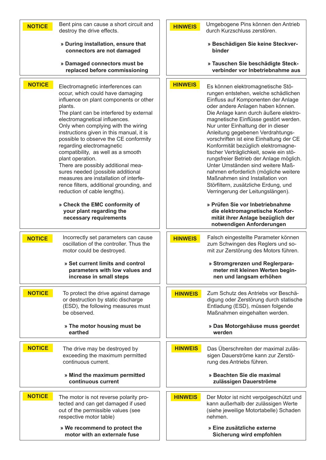| Bent pins can cause a short circuit and            | Umgebogene Pins können den Antrieb                                                              |
|----------------------------------------------------|-------------------------------------------------------------------------------------------------|
| <b>NOTICE</b>                                      | <b>HINWEIS</b>                                                                                  |
| destroy the drive effects.                         | durch Kurzschluss zerstören.                                                                    |
| » During installation, ensure that                 | » Beschädigen Sie keine Steckver-                                                               |
| connectors are not damaged                         | binder                                                                                          |
| » Damaged connectors must be                       | » Tauschen Sie beschädigte Steck-                                                               |
| replaced before commissioning                      | verbinder vor Inbetriebnahme aus                                                                |
| <b>NOTICE</b>                                      | <b>HINWEIS</b>                                                                                  |
| Electromagnetic interferences can                  | Es können elektromagnetische Stö-                                                               |
| occur, which could have damaging                   | rungen entstehen, welche schädlichen                                                            |
| influence on plant components or other             | Einfluss auf Komponenten der Anlage                                                             |
| plants.                                            | oder andere Anlagen haben können.                                                               |
| The plant can be interfered by external            | Die Anlage kann durch äußere elektro-                                                           |
| electromagnetical influences.                      | magnetische Einflüsse gestört werden.                                                           |
| Only when complying with the wiring                | Nur unter Einhaltung der in dieser                                                              |
| instructions given in this manual, it is           | Anleitung gegebenen Verdrahtungs-                                                               |
| possible to observe the CE conformity              | vorschriften ist eine Einhaltung der CE                                                         |
| regarding electromagnetic                          | Konformität bezüglich elektromagne-                                                             |
| compatibility, as well as a smooth                 | tischer Verträglichkeit, sowie ein stö-                                                         |
| plant operation.                                   | rungsfreier Betrieb der Anlage möglich.                                                         |
| There are possibly additional mea-                 | Unter Umständen sind weitere Maß-                                                               |
| sures needed (possible additional                  | nahmen erforderlich (mögliche weitere                                                           |
| measures are installation of interfe-              | Maßnahmen sind Installation von                                                                 |
| rence filters, additional grounding, and           | Störfiltern, zusätzliche Erdung, und                                                            |
| reduction of cable lengths).                       | Verringerung der Leitungslängen).                                                               |
| » Check the EMC conformity of                      | » Prüfen Sie vor Inbetriebnahme                                                                 |
| your plant regarding the<br>necessary requirements | die elektromagnetische Konfor-<br>mität ihrer Anlage bezüglich der<br>notwendigen Anforderungen |
| Incorrectly set parameters can cause               | Falsch eingestellte Parameter können                                                            |
| <b>NOTICE</b>                                      | <b>HINWEIS</b>                                                                                  |
| oscillation of the controller. Thus the            | zum Schwingen des Reglers und so-                                                               |
| motor could be destroyed.                          | mit zur Zerstörung des Motors führen.                                                           |
| » Set current limits and control                   | » Stromgrenzen und Reglerpara-                                                                  |
| parameters with low values and                     | meter mit kleinen Werten begin-                                                                 |
| increase in small steps                            | nen und langsam erhöhen                                                                         |
| <b>NOTICE</b>                                      | <b>HINWEIS</b>                                                                                  |
| To protect the drive against damage                | Zum Schutz des Antriebs vor Beschä-                                                             |
| or destruction by static discharge                 | digung oder Zerstörung durch statische                                                          |
| (ESD), the following measures must                 | Entladung (ESD), müssen folgende                                                                |
| be observed.                                       | Maßnahmen eingehalten werden.                                                                   |
| » The motor housing must be                        | » Das Motorgehäuse muss geerdet                                                                 |
| earthed                                            | werden                                                                                          |
| <b>NOTICE</b>                                      | <b>HINWEIS</b>                                                                                  |
| The drive may be destroyed by                      | Das Überschreiten der maximal zuläs-                                                            |
| exceeding the maximum permitted                    | sigen Dauerströme kann zur Zerstö-                                                              |
| continuous current.                                | rung des Antriebs führen.                                                                       |
| » Mind the maximum permitted                       | » Beachten Sie die maximal                                                                      |
| continuous current                                 | zulässigen Dauerströme                                                                          |
| <b>NOTICE</b>                                      | <b>HINWEIS</b>                                                                                  |
| The motor is not reverse polarity pro-             | Der Motor ist nicht verpolgeschützt und                                                         |
| tected and can get damaged if used                 | kann außerhalb der zulässigen Werte                                                             |
| out of the permissible values (see                 | (siehe jeweilige Motortabelle) Schaden                                                          |
| respective motor table)                            | nehmen.                                                                                         |
| » We recommend to protect the                      | » Eine zusätzliche externe                                                                      |
| motor with an externale fuse                       | Sicherung wird empfohlen                                                                        |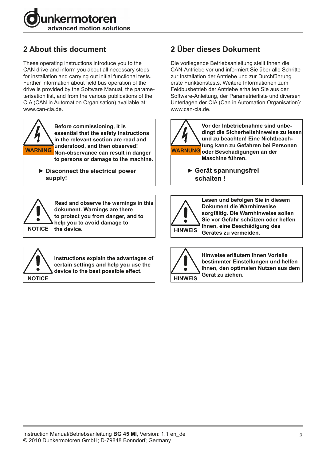

# **2 About this document**

These operating instructions introduce you to the CAN drive and inform you about all necessary steps for installation and carrying out initial functional tests. Further information about field bus operation of the drive is provided by the Software Manual, the parameterisation list, and from the various publications of the CIA (CAN in Automation Organisation) available at: www.can-cia.de.



**Before commissioning, it is essential that the safety instructions in the relevant section are read and understood, and then observed! Non-observance can result in danger WARNING WARNUNGto persons or damage to the machine.**

▶ Disconnect the electrical power  **supply!**



**Read and observe the warnings in this dokument. Warnings are there to protect you from danger, and to help you to avoid damage to** 



**Instructions explain the advantages of certain settings and help you use the device to the best possible effect.**

# **2 Über dieses Dokument**

Die vorliegende Betriebsanleitung stellt Ihnen die CAN-Antriebe vor und informiert Sie über alle Schritte zur Installation der Antriebe und zur Durchführung erste Funktionstests. Weitere Informationen zum Feldbusbetrieb der Antriebe erhalten Sie aus der Software-Anleitung, der Parametrierliste und diversen Unterlagen der CIA (Can in Automation Organisation): www.can-cia.de.



 **► Gerät spannungsfrei schalten !**



**Lesen und befolgen Sie in diesem Dokument die Warnhinweise sorgfältig. Die Warnhinweise sollen Sie vor Gefahr schützen oder helfen Ihnen, eine Beschädigung des Gerätes zu vermeiden. HINWEIS**



**Hinweise erläutern Ihnen Vorteile bestimmter Einstellungen und helfen Ihnen, den optimalen Nutzen aus dem Gerät zu ziehen. HINWEIS**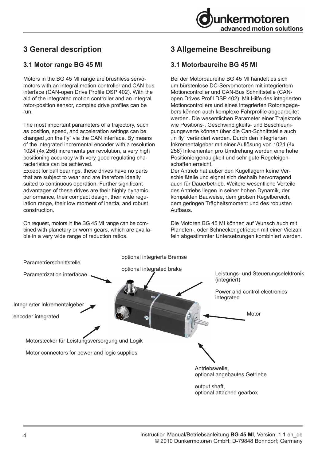

# **3 General description**

#### **3.1 Motor range BG 45 MI**

Motors in the BG 45 MI range are brushless servomotors with an integral motion controller and CAN bus interface (CAN-open Drive Profile DSP 402). With the aid of the integrated motion controller and an integral rotor-position sensor, complex drive profiles can be run.

The most important parameters of a trajectory, such as position, speed, and acceleration settings can be changed "on the fly" via the CAN interface. By means of the integrated incremental encoder with a resolution 1024 (4x 256) increments per revolution, a very high positioning accuracy with very good regulating characteristics can be achieved.

Except for ball bearings, these drives have no parts that are subject to wear and are therefore ideally suited to continuous operation. Further significant advantages of these drives are their highly dynamic performance, their compact design, their wide regulation range, their low moment of inertia, and robust construction.

On request, motors in the BG 45 MI range can be combined with planetary or worm gears, which are available in a very wide range of reduction ratios.

# **3 Allgemeine Beschreibung**

### **3.1 Motorbaureihe BG 45 MI**

Bei der Motorbaureihe BG 45 MI handelt es sich um bürstenlose DC-Servomotoren mit integriertem Motioncontroller und CAN-Bus Schnittstelle (CANopen Drives Profil DSP 402). Mit Hilfe des integrierten Motioncontrollers und eines integrierten Rotorlagegebers können auch komplexe Fahrprofile abgearbeitet werden. Die wesentlichen Parameter einer Trajektorie wie Positions-, Geschwindigkeits- und Beschleunigungswerte können über die Can-Schnittstelle auch "in fly" verändert werden. Durch den integrierten Inkrementalgeber mit einer Auflösung von 1024 (4x 256) Inkrementen pro Umdrehung werden eine hohe Positioniergenauigkeit und sehr gute Regeleigenschaften erreicht.

Der Antrieb hat außer den Kugellagern keine Verschleißteile und eignet sich deshalb hervorragend auch für Dauerbetrieb. Weitere wesentliche Vorteile des Antriebs liegen in seiner hohen Dynamik, der kompakten Bauweise, dem großen Regelbereich, dem geringen Trägheitsmoment und des robusten Aufbaus.

Die Motoren BG 45 MI können auf Wunsch auch mit Planeten-, oder Schneckengetrieben mit einer Vielzahl fein abgestimmter Untersetzungen kombiniert werden.

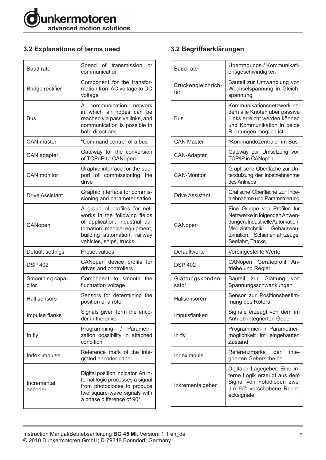

## **3.2 Explanations of terms used**

| <b>Baud rate</b>         | Speed of transmission or<br>communication                                                                                                                                                   |
|--------------------------|---------------------------------------------------------------------------------------------------------------------------------------------------------------------------------------------|
| Bridge rectifier         | Component for the transfor-<br>mation from AC voltage to DC<br>voltage                                                                                                                      |
| Bus                      | communication<br>network<br>A<br>in which all nodes can be<br>reached via passive links, and<br>communication is possible in<br>both directions                                             |
| <b>CAN</b> master        | "Command centre" of a bus                                                                                                                                                                   |
| CAN adapter              | Gateway for the conversion<br>of TCP/IP to CANopen                                                                                                                                          |
| <b>CAN</b> monitor       | Graphic interface for the sup-<br>port of commissioning the<br>drive                                                                                                                        |
| <b>Drive Assistant</b>   | Graphic interface for commis-<br>sioning and parameterisation                                                                                                                               |
| CANopen                  | A group of profiles for net-<br>works in the following fields<br>of application: industrial au-<br>tomation, medical equipment,<br>building automation, railway<br>vehicles, ships, trucks, |
| Default settings         | <b>Preset values</b>                                                                                                                                                                        |
| <b>DSP 402</b>           | CANopen device profile for<br>drives and controllers                                                                                                                                        |
| Smoothing capa-<br>citor | the<br>Component to smooth<br>fluctuation voltage                                                                                                                                           |
| Hall sensors             | Sensors for determining the<br>position of a rotor                                                                                                                                          |
| Impulse flanks           | Signals given form the enco-<br>der in the drive                                                                                                                                            |
| In fly                   | Programming- / Parametri-<br>zation possibility in attached<br>condition                                                                                                                    |
| Index impulse            | Reference mark of the inte-<br>grated encoder panel                                                                                                                                         |
| Incremental<br>encoder   | Digital position indicator. An in-<br>ternal logic processes a signal<br>from photodiodes to produce<br>two square-wave signals with<br>a phase difference of 90°.                          |

## **3.2 Begriffserklärungen**

| <b>Baud rate</b>          | Übertragungs-/ Kommunikati-<br>onsgeschwindigkeit                                                                                                                                      |
|---------------------------|----------------------------------------------------------------------------------------------------------------------------------------------------------------------------------------|
| Brückengleichrich-<br>ter | Bauteil zur Umwandlung von<br>Wechselspannung in Gleich-<br>spannung                                                                                                                   |
| Bus                       | Kommunikationsnetzwerk bei<br>dem alle Knoten über passive<br>Links erreicht werden können<br>und Kommunikation in beide<br>Richtungen möglich ist                                     |
| <b>CAN Master</b>         | "Kommandozentrale" im Bus                                                                                                                                                              |
| <b>CAN-Adapter</b>        | Gateway zur Umsetzung von<br>TCP/IP in CANopen                                                                                                                                         |
| <b>CAN-Monitor</b>        | Graphische Oberfläche zur Un-<br>terstützung der Inbetriebnahme<br>des Antriebs                                                                                                        |
| <b>Drive Assistant</b>    | Grafische Oberfläche zur Inbe-<br>triebnahme und Parametrierung                                                                                                                        |
| CANopen                   | Eine Gruppe von Profilen für<br>Netzwerke in folgenden Anwen-<br>dungen: IndustrielleAutomation,<br>Medizintechnik,<br>Gehäuseau-<br>tomation, Schienenfahrzeuge,<br>Seefahrt, Trucks, |
| Defaultwerte              | Voreingestellte Werte                                                                                                                                                                  |
| <b>DSP 402</b>            | CANopen Geräteprofil<br>An-<br>triebe und Regler                                                                                                                                       |
| Glättungskonden-<br>sator | <b>Bauteil</b><br>Glättung<br>zur<br>von<br>Spannungsschwankungen                                                                                                                      |
| Hallsensoren              | Sensor zur Positionsbestim-<br>mung des Rotors                                                                                                                                         |
| Impulsflanken             | Signale erzeugt von dem im<br>Antrieb integrierten Geber                                                                                                                               |
| In fly                    | Programmier- / Parametrier-<br>möglichkeit im eingebauten<br>Zustand                                                                                                                   |
| Indeximpuls               | Referenzmarke der<br>inte-<br>grierten Geberscheibe                                                                                                                                    |
| Inkrementalgeber          | Digitaler Lagegeber. Eine in-<br>terne Logik erzeugt aus dem<br>Signal von Fotodioden zwei<br>um 90° verschobene Recht-<br>ecksignale.                                                 |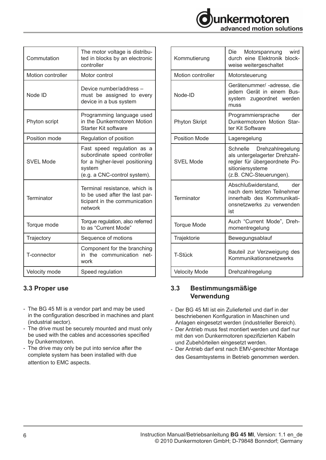

| Commutation       | The motor voltage is distribu-<br>ted in blocks by an electronic<br>controller                                                         |  |
|-------------------|----------------------------------------------------------------------------------------------------------------------------------------|--|
| Motion controller | Motor control                                                                                                                          |  |
| Node ID           | Device number/address -<br>must be assigned to every<br>device in a bus system                                                         |  |
| Phyton script     | Programming language used<br>in the Dunkermotoren Motion<br>Starter Kit software                                                       |  |
| Position mode     | Regulation of position                                                                                                                 |  |
| SVEL Mode         | Fast speed regulation as a<br>subordinate speed controller<br>for a higher-level positioning<br>system<br>(e.g. a CNC-control system). |  |
| Terminator        | Terminal resistance, which is<br>to be used after the last par-<br>ticipant in the communication<br>network                            |  |
| Torque mode       | Torque regulation, also referred<br>to as "Current Mode"                                                                               |  |
| Trajectory        | Sequence of motions                                                                                                                    |  |
| T-connector       | Component for the branching<br>in the communication<br>net-<br>work                                                                    |  |
| Velocity mode     | Speed regulation                                                                                                                       |  |

### **3.3 Proper use**

- The BG 45 MI is a vendor part and may be used in the configuration described in machines and plant (industrial sector).
- The drive must be securely mounted and must only be used with the cables and accessories specified by Dunkermotoren.
- The drive may only be put into service after the complete system has been installed with due attention to EMC aspects.

| Kommutierung             | wird<br>Die<br>Motorspannung<br>durch eine Elektronik block-<br>weise weitergeschaltet                                                    |
|--------------------------|-------------------------------------------------------------------------------------------------------------------------------------------|
| <b>Motion controller</b> | Motorsteuerung                                                                                                                            |
| Node-ID                  | Gerätenummer/ -adresse, die<br>jedem Gerät in einem Bus-<br>system zugeordnet werden<br>muss                                              |
| <b>Phyton Skript</b>     | Programmiersprache<br>der<br>Dunkermotoren Motion Star-<br>ter Kit Software                                                               |
| <b>Position Mode</b>     | Lageregelung                                                                                                                              |
| <b>SVEL Mode</b>         | Schnelle Drehzahlregelung<br>als untergelagerter Drehzahl-<br>regler für übergeordnete Po-<br>sitioniersysteme<br>(z.B. CNC-Steuerungen). |
| Terminator               | Abschlußwiderstand,<br>der<br>nach dem letzten Teilnehmer<br>innerhalb des Kommunikati-<br>onsnetzwerks zu verwenden<br>ist               |
| <b>Torque Mode</b>       | Auch "Current Mode", Dreh-<br>momentregelung                                                                                              |
| Trajektorie              | Bewegungsablauf                                                                                                                           |
| T-Stück                  | Bauteil zur Verzweigung des<br>Kommunikationsnetzwerks                                                                                    |
| <b>Velocity Mode</b>     | Drehzahlregelung                                                                                                                          |

#### **3.3 Bestimmungsmäßige Verwendung**

- Der BG 45 MI ist ein Zulieferteil und darf in der beschriebenen Konfiguration in Maschinen und Anlagen eingesetzt werden (industrieller Bereich).
- Der Antrieb muss fest montiert werden und darf nur mit den von Dunkermotoren spezifizierten Kabeln und Zubehörteilen eingesetzt werden.
- Der Antrieb darf erst nach EMV-gerechter Montage des Gesamtsystems in Betrieb genommen werden.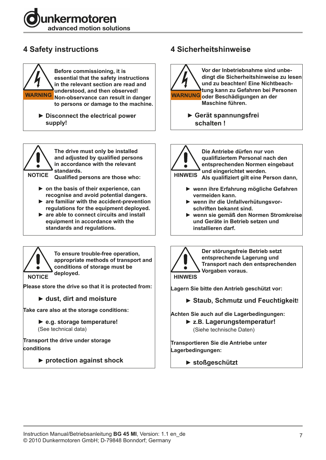



▶ Disconnect the electrical power  **supply!**



**The drive must only be installed and adjusted by qualified persons in accordance with the relevant standards.** 

**Qualified persons are those who:**

- **► on the basis of their experience, can recognise and avoid potential dangers.**
- **► are familiar with the accident-prevention regulations for the equipment deployed.**
- ▶ are able to connect circuits and install  **equipment in accordance with the standards and regulations.**



**To ensure trouble-free operation, appropriate methods of transport and conditions of storage must be deployed.**

**Please store the drive so that it is protected from:**

 **► dust, dirt and moisture**

**Take care also at the storage conditions:**

 **► e.g. storage temperature!** (See technical data)

**Transport the drive under storage conditions**

 **► protection against shock**

# **4 Safety instructions 4 Sicherheitshinweise**



 **► Gerät spannungsfrei schalten !**

**Die Antriebe dürfen nur von qualifiziertem Personal nach den entsprechenden Normen eingebaut**   $\bullet$ **und eingerichtet werden. HINWEIS Als qualifiziert gilt eine Person dann,**

- **► wenn ihre Erfahrung mögliche Gefahren vermeiden kann.**
- ▶ wenn ihr die Unfallverhütungsvor **schriften bekannt sind.**
- **► wenn sie gemäß den Normen Stromkreise und Geräte in Betrieb setzen und installieren darf.**



**Der störungsfreie Betrieb setzt entsprechende Lagerung und Transport nach den entsprechenden Vorgaben voraus.**

**HINWEIS**

**Lagern Sie bitte den Antrieb geschützt vor:**

 **► Staub, Schmutz und Feuchtigkeit!**

**Achten Sie auch auf die Lagerbedingungen:** 

**► z.B. Lagerungstemperatur!** (Siehe technische Daten)

**Transportieren Sie die Antriebe unter Lagerbedingungen:**

**► stoßgeschützt**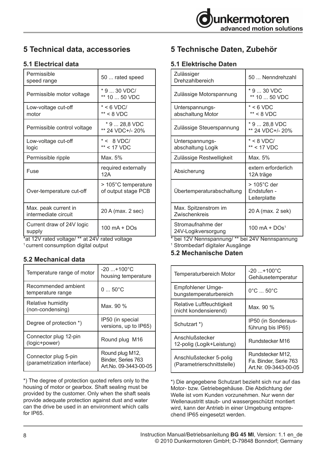# **5 Technical data, accessories**

## **5.1 Electrical data**

| Permissible<br>speed range                   | 50  rated speed                            |
|----------------------------------------------|--------------------------------------------|
| Permissible motor voltage                    | * 9  30 VDC/<br>** 10  50 VDC              |
| Low-voltage cut-off<br>motor                 | $* < 6$ VDC/<br>$** < 8$ VDC               |
| Permissible control voltage                  | * 9  28,8 VDC<br>** 24 VDC+/- 20%          |
| Low-voltage cut-off<br>logic                 | $* < 8$ VDC/<br>** < 17 VDC                |
|                                              |                                            |
| Permissible ripple                           | Max. 5%                                    |
| Fuse                                         | required externally<br>12A                 |
| Over-temperature cut-off                     | > 105°C temperature<br>of output stage PCB |
| Max. peak current in<br>intermediate circuit | 20 A (max. 2 sec)                          |

\*at 12V rated voltage/ \*\* at 24V rated voltage  $^{\rm 1}$  current consumption digital output

### **5.2 Mechanical data**

| Temperature range of motor                          | $-20$ +100°C<br>housing temperature                            |
|-----------------------------------------------------|----------------------------------------------------------------|
| Recommended ambient<br>temperature range            | $0.50^{\circ}$ C                                               |
| Relative humidity<br>(non-condensing)               | Max. 90 %                                                      |
| Degree of protection *)                             | IP50 (in special<br>versions, up to IP65)                      |
| Connector plug 12-pin<br>(logic+power)              | Round plug M16                                                 |
| Connector plug 5-pin<br>(parametrization interface) | Round plug M12,<br>Binder, Series 763<br>Art.No. 09-3443-00-05 |

\*) The degree of protection quoted refers only to the housing of motor or gearbox. Shaft sealing must be provided by the customer. Only when the shaft seals provide adequate protection against dust and water can the drive be used in an environment which calls for IP65.

# **5 Technische Daten, Zubehör**

## **5.1 Elektrische Daten**

| Zulässiger<br>Drehzahlbereich                                               | 50  Nenndrehzahl                                                                    |
|-----------------------------------------------------------------------------|-------------------------------------------------------------------------------------|
| Zulässige Motorspannung                                                     | * 9  30 VDC<br>** 10  50 VDC                                                        |
| Unterspannungs-<br>abschaltung Motor                                        | $*$ < 6 VDC<br>$**$ < 8 VDC                                                         |
| Zulässige Steuerspannung                                                    | * 9  28,8 VDC<br>** 24 VDC+/- 20%                                                   |
| Unterspannungs-<br>abschaltung Logik                                        | $* < 8$ VDC/<br>$**$ < 17 VDC                                                       |
| Zulässige Restwelligkeit                                                    | Max. 5%                                                                             |
| Absicherung                                                                 | extern erforderlich<br>12A träge                                                    |
| Übertemperaturabschaltung                                                   | $>105^{\circ}$ C der<br>Endstufen -<br>Leiterplatte                                 |
| Max. Spitzenstrom im<br>Zwischenkreis                                       | 20 A (max. 2 sek)                                                                   |
| Stromaufnahme der<br>24V-Logikversorgung<br>$k_{\rm{hal}}$ : 401/1<br>--1** | 100 mA + DOs <sup>1</sup><br>$: \bigcap A \setminus I$ $\bigcap_{n \in \mathbb{N}}$ |

bei 12V Nennspannung/ \*\* bei 24V Nennspannung

1 Strombedarf digitaler Ausgänge

## **5.2 Mechanische Daten**

| <b>Temperaturbereich Motor</b>                        | $-20$ +100 $^{\circ}$ C<br>Gehäusetemperatur                       |
|-------------------------------------------------------|--------------------------------------------------------------------|
| Empfohlener Umge-<br>bungstemperaturbereich           | $0^{\circ}$ C $$ 50 $^{\circ}$ C                                   |
| Relative Luftfeuchtigkeit<br>(nicht kondensierend)    | Max. 90 %                                                          |
| Schutzart *)                                          | IP50 (in Sonderaus-<br>führung bis IP65)                           |
| Anschlußstecker<br>12-polig (Logik+Leistung)          | Rundstecker M16                                                    |
| Anschlußstecker 5-polig<br>(Parametrierschnittstelle) | Rundstecker M12,<br>Fa. Binder, Serie 763<br>Art.Nr. 09-3443-00-05 |

\*) Die angegebene Schutzart bezieht sich nur auf das Motor- bzw. Getriebegehäuse. Die Abdichtung der Welle ist vom Kunden vorzunehmen. Nur wenn der Wellenaustritt staub- und wassergeschützt montiert wird, kann der Antrieb in einer Umgebung entsprechend IP65 eingesetzt werden.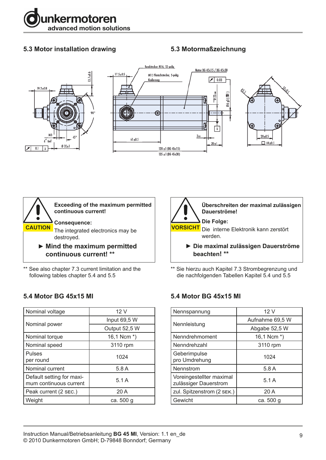

## **5.3 Motor installation drawing**

## **5.3 Motormaßzeichnung**





\*\* See also chapter 7.3 current limitation and the following tables chapter 5.4 and 5.5

### **5.4 Motor BG 45x15 MI**

| Nominal voltage           | 12 V          |
|---------------------------|---------------|
|                           | Input 69,5 W  |
| Nominal power             | Output 52,5 W |
| Nominal torque            | 16,1 Ncm *)   |
| Nominal speed             | 3110 rpm      |
| Pulses                    | 1024          |
| per round                 |               |
| Nominal current           | 5.8A          |
| Default setting for maxi- | 5.1A          |
| mum continuous current    |               |
| Peak current (2 sec.)     | 20A           |
| Weight                    | ca. 500 q     |



\*\* Sie hierzu auch Kapitel 7.3 Strombegrenzung und die nachfolgenden Tabellen Kapitel 5.4 und 5.5

### **5.4 Motor BG 45x15 MI**

| Nennspannung                                      | 12V             |
|---------------------------------------------------|-----------------|
|                                                   | Aufnahme 69,5 W |
| Nennleistung                                      | Abgabe 52,5 W   |
| Nenndrehmoment                                    | 16,1 Ncm $*$ )  |
| Nenndrehzahl                                      | 3110 rpm        |
| Geberimpulse<br>pro Umdrehung                     | 1024            |
| Nennstrom                                         | 5.8A            |
| Voreingestellter maximal<br>zulässiger Dauerstrom | 5.1A            |
| zul. Spitzenstrom (2 SEK.)                        | 20A             |
| Gewicht                                           | ca. 500 g       |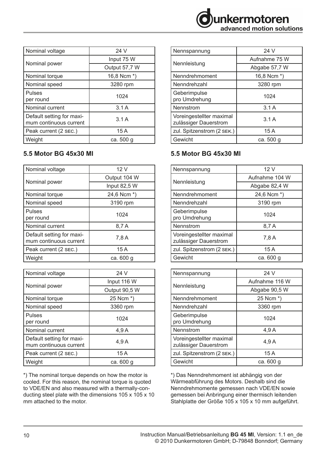| Nominal voltage           | 24 V          |
|---------------------------|---------------|
|                           | Input 75 W    |
| Nominal power             | Output 57,7 W |
| Nominal torque            | 16,8 Ncm *)   |
| Nominal speed             | 3280 rpm      |
| <b>Pulses</b>             | 1024          |
| per round                 |               |
| Nominal current           | 3.1A          |
| Default setting for maxi- | 3.1A          |
| mum continuous current    |               |
| Peak current (2 sEC.)     | 15 A          |
| Weight                    | ca. 500 g     |

# **5.5 Motor BG 45x30 MI**

| Nominal voltage           | 12V          |
|---------------------------|--------------|
|                           | Output 104 W |
| Nominal power             | Input 82,5 W |
| Nominal torque            | 24,6 Ncm *)  |
| Nominal speed             | 3190 rpm     |
| <b>Pulses</b>             | 1024         |
| per round                 |              |
| Nominal current           | 8,7 A        |
| Default setting for maxi- | 7,8 A        |
| mum continuous current    |              |
| Peak current (2 SEC.)     | 15 A         |
| Weight                    | ca. 600 q    |

| Nominal voltage                                     | 24 V          |
|-----------------------------------------------------|---------------|
|                                                     | Input 116 W   |
| Nominal power                                       | Output 90,5 W |
| Nominal torque                                      | 25 Ncm *)     |
| Nominal speed                                       | 3360 rpm      |
| Pulses                                              | 1024          |
| per round                                           |               |
| Nominal current                                     | 4,9 A         |
| Default setting for maxi-<br>mum continuous current | 4.9 A         |
|                                                     |               |
| Peak current (2 SEC.)                               | 15A           |
| Weight                                              | ca. 600 g     |

\*) The nominal torque depends on how the motor is cooled. For this reason, the nominal torque is quoted to VDE/EN and also measured with a thermally-conducting steel plate with the dimensions 105 x 105 x 10 mm attached to the motor.

| Nennspannung                                      | 24 V          |
|---------------------------------------------------|---------------|
|                                                   | Aufnahme 75 W |
| Nennleistung                                      | Abgabe 57,7 W |
| Nenndrehmoment                                    | 16,8 Ncm *)   |
| Nenndrehzahl                                      | 3280 rpm      |
| Geberimpulse<br>pro Umdrehung                     | 1024          |
| Nennstrom                                         | 3.1A          |
| Voreingestellter maximal<br>zulässiger Dauerstrom | 3.1A          |
| zul. Spitzenstrom (2 SEK.)                        | 15 A          |
| Gewicht                                           | ca. 500 q     |

# **5.5 Motor BG 45x30 MI**

| Nennspannung                                      | 12 V           |  |
|---------------------------------------------------|----------------|--|
|                                                   | Aufnahme 104 W |  |
| Nennleistung                                      | Abgabe 82,4 W  |  |
| Nenndrehmoment                                    | 24,6 Ncm *)    |  |
| Nenndrehzahl                                      | 3190 rpm       |  |
| Geberimpulse<br>pro Umdrehung                     | 1024           |  |
| Nennstrom                                         | 8,7 A          |  |
| Voreingestellter maximal<br>zulässiger Dauerstrom | 7,8 A          |  |
| zul. Spitzenstrom (2 SEK.)                        | 15A            |  |
| Gewicht                                           | ca. 600 g      |  |
|                                                   |                |  |
| Nennspannung                                      | 24 V           |  |
|                                                   | Aufnahme 116 W |  |
| Nennleistung                                      | Abgabe 90,5 W  |  |
| Nenndrehmoment                                    | 25 Ncm *)      |  |
| Nenndrehzahl                                      | 3360 rpm       |  |
| Geberimpulse<br>pro Umdrehung                     | 1024           |  |
| Nennstrom                                         | 4,9A           |  |
| l Voreingestellter maximal                        |                |  |

| ן עטוכווועכאנכוונכו ווופגוווופו<br><b>zulässiger Dauerstrom</b>                                                                         | 4,9A      |
|-----------------------------------------------------------------------------------------------------------------------------------------|-----------|
| zul. Spitzenstrom (2 sEK.)                                                                                                              | 15 A      |
| Gewicht                                                                                                                                 | ca. 600 g |
| *) Das Nenndrehmoment ist abhängig von der<br>Wärmeabführung des Motors. Deshalb sind die<br>Nenndrehmomente gemessen nach VDE/EN sowie |           |

Wärmeabführung des Motors. Deshalb sind die Nenndrehmomente gemessen nach VDE/EN sowie gemessen bei Anbringung einer thermisch leitenden Stahlplatte der Größe 105 x 105 x 10 mm aufgeführt.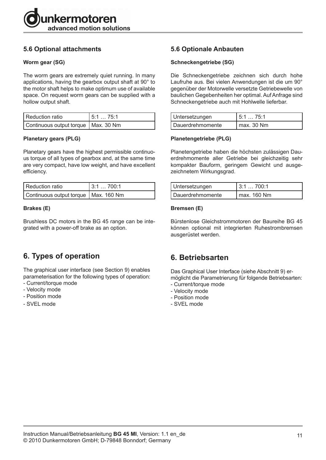

## **5.6 Optional attachments**

#### **Worm gear (SG)**

The worm gears are extremely quiet running. In many applications, having the gearbox output shaft at 90° to the motor shaft helps to make optimum use of available space. On request worm gears can be supplied with a hollow output shaft.

| l Reduction ratio                     | 15:1  75:1 |
|---------------------------------------|------------|
| Continuous output torque   Max. 30 Nm |            |

#### **Planetary gears (PLG)**

Planetary gears have the highest permissible continuous torque of all types of gearbox and, at the same time are very compact, have low weight, and have excellent efficiency.

| l Reduction ratio                      | 3:1700:1 |
|----------------------------------------|----------|
| Continuous output torque   Max. 160 Nm |          |

#### **Brakes (E)**

Brushless DC motors in the BG 45 range can be integrated with a power-off brake as an option.

# **6. Types of operation**

The graphical user interface (see Section 9) enables parameterisation for the following types of operation: - Current/torque mode

- Velocity mode
- Position mode
- SVEL mode

### **5.6 Optionale Anbauten**

#### **Schneckengetriebe (SG)**

Die Schneckengetriebe zeichnen sich durch hohe Laufruhe aus. Bei vielen Anwendungen ist die um 90° gegenüber der Motorwelle versetzte Getriebewelle von baulichen Gegebenheiten her optimal. Auf Anfrage sind Schneckengetriebe auch mit Hohlwelle lieferbar.

| Untersetzungen   | l 5:1 … 75:1   |
|------------------|----------------|
| Dauerdrehmomente | $1$ max. 30 Nm |

#### **Planetengetriebe (PLG)**

Planetengetriebe haben die höchsten zulässigen Dauerdrehmomente aller Getriebe bei gleichzeitig sehr kompakter Bauform, geringem Gewicht und ausgezeichnetem Wirkungsgrad.

| Untersetzungen   | 13:1700:1     |
|------------------|---------------|
| Dauerdrehmomente | l max. 160 Nm |

#### **Bremsen (E)**

Bürstenlose Gleichstrommotoren der Baureihe BG 45 können optional mit integrierten Ruhestrombremsen ausgerüstet werden.

## **6. Betriebsarten**

Das Graphical User Interface (siehe Abschnitt 9) ermöglicht die Parametrierung für folgende Betriebsarten: - Current/torque mode

- 
- Velocity mode
- Position mode
- SVEL mode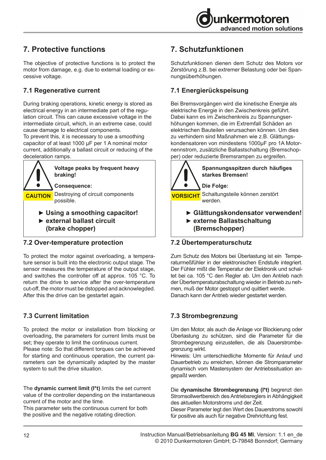

# **7. Protective functions**

The objective of protective functions is to protect the motor from damage, e.g. due to external loading or excessive voltage.

## **7.1 Regenerative current**

During braking operations, kinetic energy is stored as electrical energy in an intermediate part of the regulation circuit. This can cause excessive voltage in the intermediate circuit, which, in an extreme case, could cause damage to electrical components.

To prevent this, it is necessary to use a smoothing capacitor of at least 1000 µF per 1 A nominal motor current, additionally a ballast circuit or reducing of the deceleration ramps.



#### **7.2 Over-temperature protection**

To protect the motor against overloading, a temperature sensor is built into the electronic output stage. The sensor measures the temperature of the output stage, and switches the controller off at approx. 105 °C. To return the drive to service after the over-temperature cut-off, the motor must be dstopped and acknowlegded. After this the drive can be gestartet again.

## **7.3 Current limitation**

To protect the motor or installation from blocking or overloading, the parameters for current limits must be set; they operate to limit the continuous current.

Please note: So that different torques can be achieved for starting and continuous operation, the current parameters can be dynamically adapted by the master system to suit the drive situation.

The **dynamic current limit (I\*t)** limits the set current value of the controller depending on the instantaneous current of the motor and the time.

This parameter sets the continuous current for both the positive and the negative rotating direction.

# **7. Schutzfunktionen**

Schutzfunktionen dienen dem Schutz des Motors vor Zerstörung z.B. bei extremer Belastung oder bei Spannungsüberhöhungen.

## **7.1 Energierückspeisung**

Bei Bremsvorgängen wird die kinetische Energie als elektrische Energie in den Zwischenkreis geführt. Dabei kann es im Zwischenkreis zu Spannungserhöhungen kommen, die im Extremfall Schäden an elektrischen Bauteilen verursachen können. Um dies zu verhindern sind Maßnahmen wie z.B. Glättungskondensatoren von mindestens 1000µF pro 1A Motornennstrom, zusätzliche Ballastschaltung (Bremschopper) oder reduzierte Bremsrampen zu ergreifen.



## **7.2 Übertemperaturschutz**

Zum Schutz des Motors bei Überlastung ist ein Temperaturmeßfühler in der elektronischen Endstufe integriert. Der Fühler mißt die Temperatur der Elektronik und schaltet bei ca. 105 °C den Regler ab. Um den Antrieb nach der Übertemperaturabschaltung wieder in Betrieb zu nehmen, muß der Motor gestoppt und quittiert werde. Danach kann der Antrieb wieder gestartet werden.

### **7.3 Strombegrenzung**

Um den Motor, als auch die Anlage vor Blockierung oder Überlastung zu schützen, sind die Parameter für die Strombegrenzung einzustellen, die als Dauerstrombegrenzung wirkt.

Hinweis: Um unterschiedliche Momente für Anlauf und Dauerbetrieb zu erreichen, können die Stromparameter dynamisch vom Mastersystem der Antriebssituation angepaßt werden.

Die **dynamische Strombegrenzung (I\*t)** begrenzt den Stromsollwertbereich des Antriebsreglers in Abhängigkeit des aktuellen Motorstroms und der Zeit.

Dieser Parameter legt den Wert des Dauerstroms sowohl für positive als auch für negative Drehrichtung fest.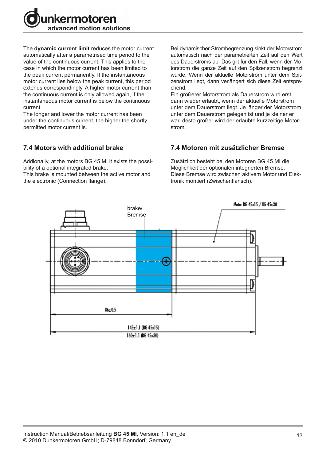

The **dynamic current limit** reduces the motor current automatically after a parametrised time period to the value of the continuous current. This applies to the case in which the motor current has been limited to the peak current permanently. If the instantaneous motor current lies below the peak current, this period extends correspondingly. A higher motor current than the continuous current is only allowed again, if the instantaneous motor current is below the continuous current.

The longer and lower the motor current has been under the continuous current, the higher the shortly permitted motor current is.

#### **7.4 Motors with additional brake**

Addionally, at the motors BG 45 MI it exists the possibility of a optional integrated brake.

This brake is mounted between the active motor and the electronic (Connection flange).

Bei dynamischer Strombegrenzung sinkt der Motorstrom automatisch nach der parametrierten Zeit auf den Wert des Dauerstroms ab. Das gilt für den Fall, wenn der Motorstrom die ganze Zeit auf den Spitzenstrom begrenzt wurde. Wenn der aktuelle Motorstrom unter dem Spitzenstrom liegt, dann verlängert sich diese Zeit entsprechend.

Ein größerer Motorstrom als Dauerstrom wird erst dann wieder erlaubt, wenn der aktuelle Motorstrom unter dem Dauerstrom liegt. Je länger der Motorstrom unter dem Dauerstrom gelegen ist und je kleiner er war, desto größer wird der erlaubte kurzzeitige Motorstrom.

#### **7.4 Motoren mit zusätzlicher Bremse**

Zusätzlich besteht bei den Motoren BG 45 MI die Möglichkeit der optionalen integrierten Bremse. Diese Bremse wird zwischen aktivem Motor und Elektronik montiert (Zwischenflansch).

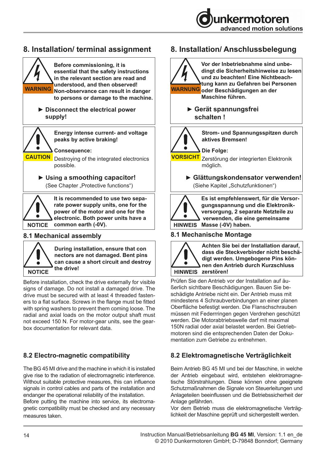

# **8. Installation/ terminal assignment**



#### **8.1 Mechanical assembly**



**During installation, ensure that con nectors are not damaged. Bent pins can cause a short circuit and destroy** 

Before installation, check the drive externally for visible signs of damage. Do not install a damaged drive. The drive must be secured with at least 4 threaded fasteners to a flat surface. Screws in the flange must be fitted with spring washers to prevent them coming loose. The radial and axial loads on the motor output shaft must not exceed 150 N. For motor-gear units, see the gearbox documentation for relevant data.

## **8.2 Electro-magnetic compatibility**

The BG 45 MI drive and the machine in which it is installed give rise to the radiation of electromagnetic interference. Without suitable protective measures, this can influence signals in control cables and parts of the installation and endanger the operational reliability of the installation. Before putting the machine into service, its electromagnetic compatibility must be checked and any necessary measures taken.

# **8. Installation/ Anschlussbelegung**



**Vor der Inbetriebnahme sind unbedingt die Sicherheitshinweise zu lesen und zu beachten! Eine Nichtbeachtung kann zu Gefahren bei Personen oder Beschädigungen an der Maschine führen.**

> **► Gerät spannungsfrei schalten !**



**Strom- und Spannungsspitzen durch aktives Bremsen!**

#### **Die Folge:**

**VORSICHT** Zerstörung der integrierten Elektronik möglich.

> **► Glättungskondensator verwenden!** (Siehe Kapitel "Schutzfunktionen")



**Es ist empfehlenswert, für die Versorgungsspannung und die Elektronikversorgung, 2 separate Netzteile zu verwenden, die eine gemeinsame HINWEIS Masse (-0V) haben.**

#### **8.1 Mechanische Montage**



Prüfen Sie den Antrieb vor der Installation auf äußerlich sichtbare Beschädigungen. Bauen Sie beschädigte Antriebe nicht ein. Der Antrieb muss mit mindestens 4 Schraubverbindungen an einer planen Oberfläche befestigt werden. Die Flanschschrauben müssen mit Federrringen gegen Verdrehen geschützt werden. Die Motorabtriebswelle darf mit maximal 150N radial oder axial belastet werden. Bei Getriebmotoren sind die entsprechenden Daten der Dokumentation zum Getriebe zu entnehmen.

### **8.2 Elektromagnetische Verträglichkeit**

Beim Antrieb BG 45 MI und bei der Maschine, in welche der Antrieb eingebaut wird, entstehen elektromagnetische Störstrahlungen. Diese können ohne geeignete Schutzmaßnahmen die Signale von Steuerleitungen und Anlageteilen beeinflussen und die Betriebssicherheit der Anlage gefährden.

Vor dem Betrieb muss die elektromagnetische Verträglichkeit der Maschine geprüft und sichergestellt werden.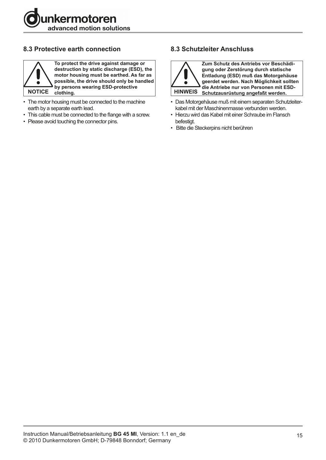

## **8.3 Protective earth connection**



**To protect the drive against damage or destruction by static discharge (ESD), the motor housing must be earthed. As far as possible, the drive should only be handled by persons wearing ESD-protective NOTICE clothing.**

- The motor housing must be connected to the machine earth by a separate earth lead.
- This cable must be connected to the flange with a screw.
- Please avoid touching the connector pins.

## **8.3 Schutzleiter Anschluss**



**Zum Schutz des Antriebs vor Beschädigung oder Zerstörung durch statische Entladung (ESD) muß das Motorgehäuse geerdet werden. Nach Möglichkeit sollten die Antriebe nur von Personen mit ESD-HINWEIS Schutzausrüstung angefaßt werden.**

- Das Motorgehäuse muß mit einem separaten Schutzleiterkabel mit der Maschinenmasse verbunden werden.
- Hierzu wird das Kabel mit einer Schraube im Flansch befestigt.
- Bitte die Steckerpins nicht berühren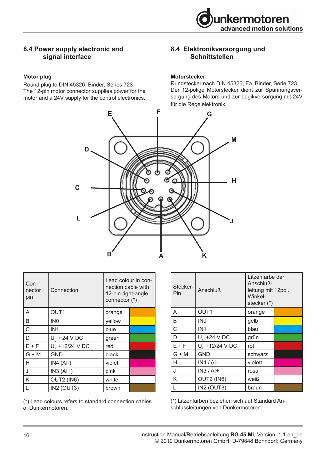

#### **8.4 Power supply electronic and signal interface**

#### **Motor plug**

Round plug to DIN 45326, Binder, Series 723 The 12-pin motor connector supplies power for the motor and a 24V supply for the control electronics.

#### **8.4 Elektronikversorgung und Schnittstellen**

#### **Motorstecker:**

Rundstecker nach DIN 45326, Fa. Binder, Serie 723 Der 12-polige Motorstecker dient zur Spannungsversorgung des Motors und zur Logikversorgung mit 24V für die Regelelektronik.



| Con-<br>nector<br>pin | Connection            | Lead colour in con-<br>nection cable with<br>12-pin right-angle<br>connector (*) |  |
|-----------------------|-----------------------|----------------------------------------------------------------------------------|--|
| A                     | OUT1                  | orange                                                                           |  |
| B                     | IN <sub>0</sub>       | yellow                                                                           |  |
| $\mathsf{C}$          | IN <sub>1</sub>       | blue                                                                             |  |
| D                     | $U_{\rm c}$ + 24 V DC | green                                                                            |  |
| $E + F$               | $U_c$ +12/24 V DC     | red                                                                              |  |
| $G + M$               | <b>GND</b>            | black                                                                            |  |
| H                     | $IN4(AI-)$            | violet                                                                           |  |
| J                     | $IN3(AI+)$            | pink                                                                             |  |
| K                     | OUT2 (IN6)            | white                                                                            |  |
|                       | IN2 (OUT3)            | brown                                                                            |  |

(\*) Lead colours refers to standard connection cables of Dunkermotoren.

| Stecker-<br>Pin | <b>Anschluß</b>   | Litzenfarbe der<br>Anschluß-<br>leitung mit 12pol.<br>Winkel-<br>stecker (*) |  |
|-----------------|-------------------|------------------------------------------------------------------------------|--|
| A               | OUT1              | orange                                                                       |  |
| B               | IN <sub>0</sub>   | gelb                                                                         |  |
| $\overline{C}$  | IN <sub>1</sub>   | blau                                                                         |  |
| D               | $U_{c}$ +24 V DC  | grün                                                                         |  |
| $E + F$         | $U_F$ +12/24 V DC | rot                                                                          |  |
| $G + M$         | <b>GND</b>        | schwarz                                                                      |  |
| H               | $IN4 / Al$ -      | violett                                                                      |  |
| J               | $IN3 / Al+$       | rosa                                                                         |  |
| K               | OUT2 (IN6)        | weiß                                                                         |  |
| L               | IN2 (OUT3)        | braun                                                                        |  |

(\*) Litzenfarben beziehen sich auf Standard Anschlussleitungen von Dunkermotoren.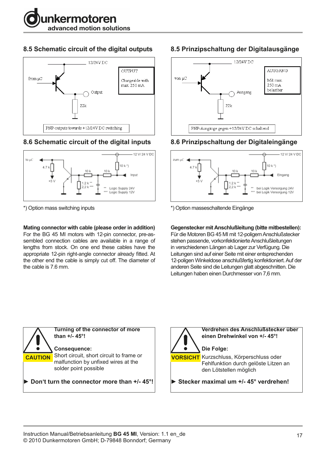

## **8.5 Schematic circuit of the digital outputs**



## **8.6 Schematic circuit of the digital inputs**



\*) Option mass switching inputs

#### **Mating connector with cable (please order in addition)**

For the BG 45 MI motors with 12-pin connector, pre-assembled connection cables are available in a range of lengths from stock. On one end these cables have the appropriate 12-pin right-angle connector already fitted. At the other end the cable is simply cut off. The diameter of the cable is 7.6 mm.

# **8.5 Prinzipschaltung der Digitalausgänge**



# **8.6 Prinzipschaltung der Digitaleingänge**



\*) Option masseschaltende Eingänge

**Gegenstecker mit Anschlußleitung (bitte mitbestellen):**

Für die Motoren BG 45 MI mit 12-poligem Anschlußstecker stehen passende, vorkonfektionierte Anschlußleitungen in verschiedenen Längen ab Lager zur Verfügung. Die Leitungen sind auf einer Seite mit einer entsprechenden 12-poligen Winkeldose anschlußfertig konfektioniert. Auf der anderen Seite sind die Leitungen glatt abgeschnitten. Die Leitungen haben einen Durchmesser von 7,6 mm.

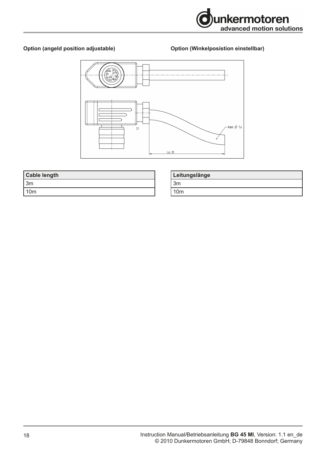

#### **Option (angeld position adjustable)**

#### **Option (Winkelposistion einstellbar)**



| <b>Cable length</b> |
|---------------------|
| l 3m                |
| l 10m               |

| Leitungslänge |
|---------------|
| ່ 3m          |
| 10m           |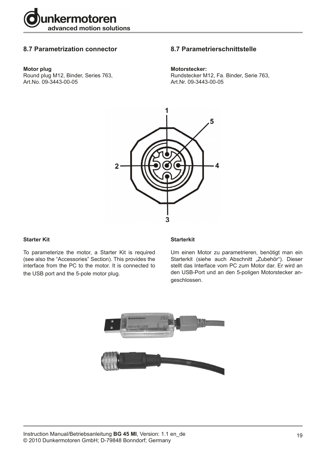

#### **8.7 Parametrization connector**

#### **Motor plug**

Round plug M12, Binder, Series 763, Art.No. 09-3443-00-05

#### **8.7 Parametrierschnittstelle**

#### **Motorstecker:**

Rundstecker M12, Fa. Binder, Serie 763, Art.Nr. 09-3443-00-05



#### **Starter Kit**

To parameterize the motor, a Starter Kit is required (see also the "Accessories" Section). This provides the interface from the PC to the motor. It is connected to the USB port and the 5-pole motor plug.

#### **Starterkit**

Um einen Motor zu parametrieren, benötigt man ein Starterkit (siehe auch Abschnitt "Zubehör"). Dieser stellt das Interface vom PC zum Motor dar. Er wird an den USB-Port und an den 5-poligen Motorstecker angeschlossen.

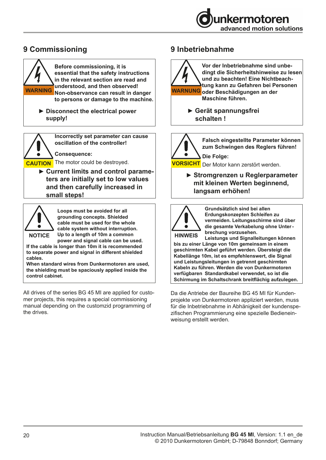

# **9 Commissioning**



▶ Disconnect the electrical power  **supply!**



**Incorrectly set parameter can cause oscillation of the controller!**

**Consequence:**

**CAUTION** The motor could be destroyed.

**► Current limits and control parameters are initially set to low values and then carefully increased in small steps!**



**Loops must be avoided for all grounding concepts. Shielded cable must be used for the whole cable system without interruption. Up to a length of 10m a common** 

**power and signal cable can be used. If the cable is longer than 10m it is recommended to separate power and signal in different shielded cables.** 

**When standard wires from Dunkermotoren are used, the shielding must be spaciously applied inside the control cabinet.**

All drives of the series BG 45 MI are applied for customer projects, this requires a special commissioning manual depending on the customzid programming of the drives.

## **9 Inbetriebnahme**



**Vor der Inbetriebnahme sind unbedingt die Sicherheitshinweise zu lesen und zu beachten! Eine Nichtbeachtung kann zu Gefahren bei Personen oder Beschädigungen an der Maschine führen.**

> **► Gerät spannungsfrei schalten !**



**Falsch eingestellte Parameter können zum Schwingen des Reglers führen!**

**VORSICHT** Der Motor kann zerstört werden.

**► Stromgrenzen u Reglerparameter mit kleinen Werten beginnend, langsam erhöhen!**



**Grundsätzlich sind bei allen Erdungskonzepten Schleifen zu vermeiden. Leitungsschirme sind über die gesamte Verkabelung ohne Unterbrechung vorzusehen.** 

**Leistungs und Signalleitungen können bis zu einer Länge von 10m gemeinsam in einem geschirmten Kabel geführt werden. Übersteigt die Kabellänge 10m, ist es empfehlenswert, die Signal und Leistungsleitungen in getrennt geschirmten Kabeln zu führen. Werden die von Dunkermotoren verfügbaren Standardkabel verwendet, so ist die Schirmung im Schaltschrank breitflächig aufzulegen.** 

Da die Antriebe der Baureihe BG 45 MI für Kundenprojekte von Dunkermotoren appliziert werden, muss für die Inbetriebnahme in Abhänigkeit der kundenspezifischen Programmierung eine spezielle Bedieneinweisung erstellt werden.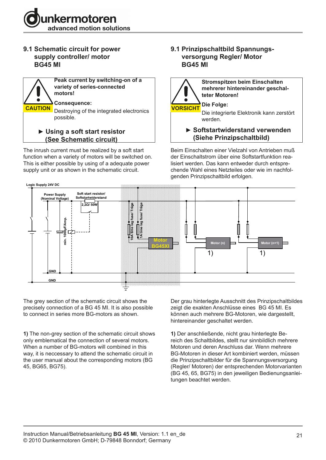

### **9.1 Schematic circuit for power supply controller/ motor BG45 MI**



The inrush current must be realized by a soft start function when a variety of motors will be switched on. This is either possible by using of a adequate power supply unit or as shown in the schematic circuit.

#### **9.1 Prinzipschaltbild Spannungs versorgung Regler/ Motor BG45 MI**



**Stromspitzen beim Einschalten mehrerer hintereinander geschalteter Motoren!**

**Die Folge:** Die integrierte Elektronik kann zerstört werden.

**► Softstartwiderstand verwenden (Siehe Prinzipschaltbild)**

Beim Einschalten einer Vielzahl von Antrieben muß der Einschaltstrom über eine Softstartfunktion realisiert werden. Das kann entweder durch entsprechende Wahl eines Netzteiles oder wie im nachfolgenden Prinzipschaltbild erfolgen.



The grey section of the schematic circuit shows the precisely connection of a BG 45 MI. It is also possible to connect in series more BG-motors as shown.

**1)** The non-grey section of the schematic circuit shows only emblematical the connection of several motors. When a number of BG-motors will combined in this way, it is neccessary to attend the schematic circuit in the user manual about the corresponding motors (BG 45, BG65, BG75).

Der grau hinterlegte Ausschnitt des Prinzipschaltbildes zeigt die exakten Anschlüsse eines BG 45 MI. Es können auch mehrere BG-Motoren, wie dargestellt, be connect in series more BO motors as shown.<br>hintereinander geschaltet werden. and commercial generation of the commercial states of the state of the state of the state of the state of the state of the state of the state of the state of the state of the state of the state of the state of the state of

> **1)** Der anschließende, nicht grau hinterlegte Bereich des Schaltbildes, stellt nur sinnbildlich mehrere Motoren und deren Anschluss dar. Wenn mehrere BG-Motoren in dieser Art kombiniert werden, müssen die Prinzipschaltbilder für die Spannungsversorgung (Regler/ Motoren) der entsprechenden Motorvarianten (BG 45, 65, BG75) in den jeweiligen Bedienungsanleitungen beachtet werden.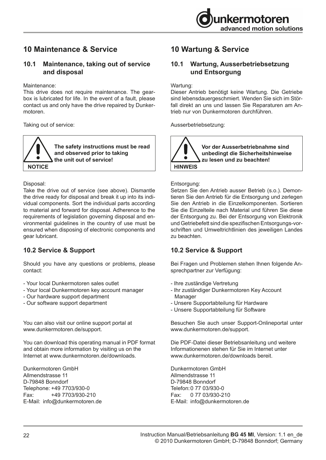# **10 Maintenance & Service**

#### **10.1 Maintenance, taking out of service and disposal**

#### Maintenance:

This drive does not require maintenance. The gearbox is lubricated for life. In the event of a fault, please contact us and only have the drive repaired by Dunkermotoren.

Taking out of service:

**The safety instructions must be read and observed prior to taking the unit out of service! NOTICE**

Disposal:

Take the drive out of service (see above). Dismantle the drive ready for disposal and break it up into its individual components. Sort the individual parts according to material and forward for disposal. Adherence to the requirements of legislation governing disposal and environmental guidelines in the country of use must be ensured when disposing of electronic components and gear lubricant.

## **10.2 Service & Support**

Should you have any questions or problems, please contact:

- Your local Dunkermotoren sales outlet
- Your local Dunkermotoren key account manager
- Our hardware support department
- Our software support department

You can also visit our online support portal at www.dunkermotoren.de/support.

You can download this operating manual in PDF format and obtain more information by visiting us on the Internet at www.dunkermotoren.de/downloads.

Dunkermotoren GmbH Allmendstrasse 11 D-79848 Bonndorf Telephone: +49 7703/930-0 Fax: +49 7703/930-210 E-Mail: info@dunkermotoren.de

# **10 Wartung & Service**

## **10.1 Wartung, Ausserbetriebsetzung und Entsorgung**

Wartung:

Dieser Antrieb benötigt keine Wartung. Die Getriebe sind lebensdauergeschmiert. Wenden Sie sich im Störfall direkt an uns und lassen Sie Reparaturen am Antrieb nur von Dunkermotoren durchführen.

Ausserbetriebsetzung:



#### Entsorgung:

Setzen Sie den Antrieb ausser Betrieb (s.o.). Demontieren Sie den Antrieb für die Entsorgung und zerlegen Sie den Antrieb in die Einzelkomponenten. Sortieren Sie die Einzelteile nach Material und führen Sie diese der Entsorgung zu. Bei der Entsorgung von Elektronik und Getriebefett sind die spezifischen Entsorgungs-vorschriften und Umweltrichtlinien des jeweiligen Landes zu beachten.

### **10.2 Service & Support**

Bei Fragen und Problemen stehen Ihnen folgende Ansprechpartner zur Verfügung:

- Ihre zuständige Vertretung
- Ihr zuständiger Dunkermotoren Key Account Manager
- Unsere Supportabteilung für Hardware
- Unsere Supportabteilung für Software

Besuchen Sie auch unser Support-Onlineportal unter www.dunkermotoren.de/support.

Die PDF-Datei dieser Betriebsanleitung und weitere Informationenen stehen für Sie im Internet unter www.dunkermotoren.de/downloads bereit.

Dunkermotoren GmbH Allmendstrasse 11 D-79848 Bonndorf Telefon:0 77 03/930-0 Fax: 0 77 03/930-210 E-Mail: info@dunkermotoren.de